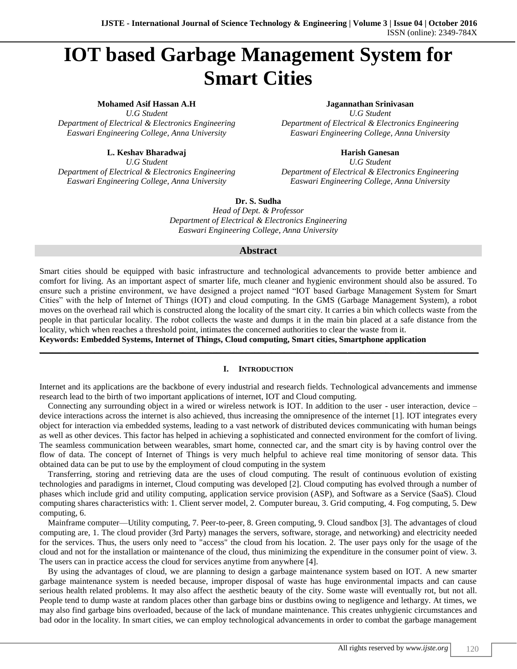# **IOT based Garbage Management System for Smart Cities**

**Mohamed Asif Hassan A.H Jagannathan Srinivasan**

*U.G Student U.G Student Department of Electrical & Electronics Engineering Department of Electrical & Electronics Engineering Easwari Engineering College, Anna University Easwari Engineering College, Anna University*

**L. Keshav Bharadwaj Harish Ganesan** *U.G Student U.G Student*

*Department of Electrical & Electronics Engineering Department of Electrical & Electronics Engineering Easwari Engineering College, Anna University Easwari Engineering College, Anna University*

**Dr. S. Sudha**

*Head of Dept. & Professor Department of Electrical & Electronics Engineering Easwari Engineering College, Anna University*

# **Abstract**

Smart cities should be equipped with basic infrastructure and technological advancements to provide better ambience and comfort for living. As an important aspect of smarter life, much cleaner and hygienic environment should also be assured. To ensure such a pristine environment, we have designed a project named "IOT based Garbage Management System for Smart Cities" with the help of Internet of Things (IOT) and cloud computing. In the GMS (Garbage Management System), a robot moves on the overhead rail which is constructed along the locality of the smart city. It carries a bin which collects waste from the people in that particular locality. The robot collects the waste and dumps it in the main bin placed at a safe distance from the locality, which when reaches a threshold point, intimates the concerned authorities to clear the waste from it.

**Keywords: Embedded Systems, Internet of Things, Cloud computing, Smart cities, Smartphone application**

# **I. INTRODUCTION**

**\_\_\_\_\_\_\_\_\_\_\_\_\_\_\_\_\_\_\_\_\_\_\_\_\_\_\_\_\_\_\_\_\_\_\_\_\_\_\_\_\_\_\_\_\_\_\_\_\_\_\_\_\_\_\_\_\_\_\_\_\_\_\_\_\_\_\_\_\_\_\_\_\_\_\_\_\_\_\_\_\_\_\_\_\_\_\_\_\_\_\_\_\_\_\_\_\_\_\_\_\_\_\_\_**

Internet and its applications are the backbone of every industrial and research fields. Technological advancements and immense research lead to the birth of two important applications of internet, IOT and Cloud computing.

Connecting any surrounding object in a wired or wireless network is IOT. In addition to the user - user interaction, device – device interactions across the internet is also achieved, thus increasing the omnipresence of the internet [1]. IOT integrates every object for interaction via embedded systems, leading to a vast network of distributed devices communicating with human beings as well as other devices. This factor has helped in achieving a sophisticated and connected environment for the comfort of living. The seamless communication between wearables, smart home, connected car, and the smart city is by having control over the flow of data. The concept of Internet of Things is very much helpful to achieve real time monitoring of sensor data. This obtained data can be put to use by the employment of cloud computing in the system

Transferring, storing and retrieving data are the uses of cloud computing. The result of continuous evolution of existing technologies and paradigms in internet, Cloud computing was developed [2]. Cloud computing has evolved through a number of phases which include grid and utility computing, application service provision (ASP), and Software as a Service (SaaS). Cloud computing shares characteristics with: 1. Client server model, 2. Computer bureau, 3. Grid computing, 4. Fog computing, 5. Dew computing, 6.

Mainframe computer—Utility computing, 7. Peer-to-peer, 8. Green computing, 9. Cloud sandbox [3]. The advantages of cloud computing are, 1. The cloud provider (3rd Party) manages the servers, software, storage, and networking) and electricity needed for the services. Thus, the users only need to "access" the cloud from his location. 2. The user pays only for the usage of the cloud and not for the installation or maintenance of the cloud, thus minimizing the expenditure in the consumer point of view. 3. The users can in practice access the cloud for services anytime from anywhere [4].

By using the advantages of cloud, we are planning to design a garbage maintenance system based on IOT. A new smarter garbage maintenance system is needed because, improper disposal of waste has huge environmental impacts and can cause serious health related problems. It may also affect the aesthetic beauty of the city. Some waste will eventually rot, but not all. People tend to dump waste at random places other than garbage bins or dustbins owing to negligence and lethargy. At times, we may also find garbage bins overloaded, because of the lack of mundane maintenance. This creates unhygienic circumstances and bad odor in the locality. In smart cities, we can employ technological advancements in order to combat the garbage management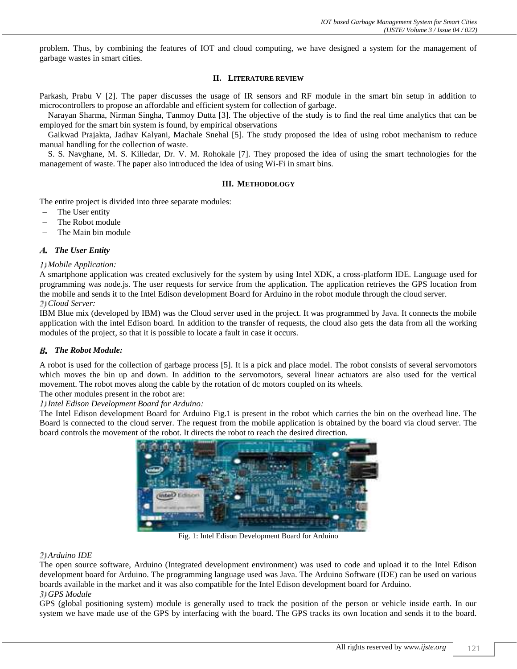problem. Thus, by combining the features of IOT and cloud computing, we have designed a system for the management of garbage wastes in smart cities.

## **II. LITERATURE REVIEW**

Parkash, Prabu V [2]. The paper discusses the usage of IR sensors and RF module in the smart bin setup in addition to microcontrollers to propose an affordable and efficient system for collection of garbage.

Narayan Sharma, Nirman Singha, Tanmoy Dutta [3]. The objective of the study is to find the real time analytics that can be employed for the smart bin system is found, by empirical observations

Gaikwad Prajakta, Jadhav Kalyani, Machale Snehal [5]. The study proposed the idea of using robot mechanism to reduce manual handling for the collection of waste.

S. S. Navghane, M. S. Killedar, Dr. V. M. Rohokale [7]. They proposed the idea of using the smart technologies for the management of waste. The paper also introduced the idea of using Wi-Fi in smart bins.

#### **III. METHODOLOGY**

The entire project is divided into three separate modules:

- The User entity
- The Robot module
- The Main bin module

## *The User Entity*

## *Mobile Application:*

A smartphone application was created exclusively for the system by using Intel XDK, a cross-platform IDE. Language used for programming was node.js. The user requests for service from the application. The application retrieves the GPS location from the mobile and sends it to the Intel Edison development Board for Arduino in the robot module through the cloud server. *Cloud Server:*

IBM Blue mix (developed by IBM) was the Cloud server used in the project. It was programmed by Java. It connects the mobile application with the intel Edison board. In addition to the transfer of requests, the cloud also gets the data from all the working modules of the project, so that it is possible to locate a fault in case it occurs.

# *The Robot Module:*

A robot is used for the collection of garbage process [5]. It is a pick and place model. The robot consists of several servomotors which moves the bin up and down. In addition to the servomotors, several linear actuators are also used for the vertical movement. The robot moves along the cable by the rotation of dc motors coupled on its wheels. The other modules present in the robot are:

*Intel Edison Development Board for Arduino:*

The Intel Edison development Board for Arduino Fig.1 is present in the robot which carries the bin on the overhead line. The Board is connected to the cloud server. The request from the mobile application is obtained by the board via cloud server. The board controls the movement of the robot. It directs the robot to reach the desired direction.



Fig. 1: Intel Edison Development Board for Arduino

#### *Arduino IDE*

The open source software, Arduino (Integrated development environment) was used to code and upload it to the Intel Edison development board for Arduino. The programming language used was Java. The Arduino Software (IDE) can be used on various boards available in the market and it was also compatible for the Intel Edison development board for Arduino. *GPS Module*

GPS (global positioning system) module is generally used to track the position of the person or vehicle inside earth. In our system we have made use of the GPS by interfacing with the board. The GPS tracks its own location and sends it to the board.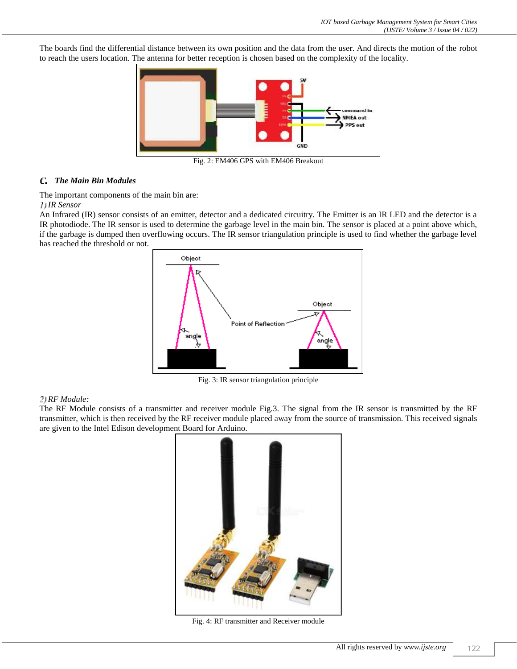The boards find the differential distance between its own position and the data from the user. And directs the motion of the robot to reach the users location. The antenna for better reception is chosen based on the complexity of the locality.



Fig. 2: EM406 GPS with EM406 Breakout

# *The Main Bin Modules*

The important components of the main bin are:

# *IR Sensor*

An Infrared (IR) sensor consists of an emitter, detector and a dedicated circuitry. The Emitter is an IR LED and the detector is a IR photodiode. The IR sensor is used to determine the garbage level in the main bin. The sensor is placed at a point above which, if the garbage is dumped then overflowing occurs. The IR sensor triangulation principle is used to find whether the garbage level has reached the threshold or not.



Fig. 3: IR sensor triangulation principle

# *RF Module:*

The RF Module consists of a transmitter and receiver module Fig.3. The signal from the IR sensor is transmitted by the RF transmitter, which is then received by the RF receiver module placed away from the source of transmission. This received signals are given to the Intel Edison development Board for Arduino.



Fig. 4: RF transmitter and Receiver module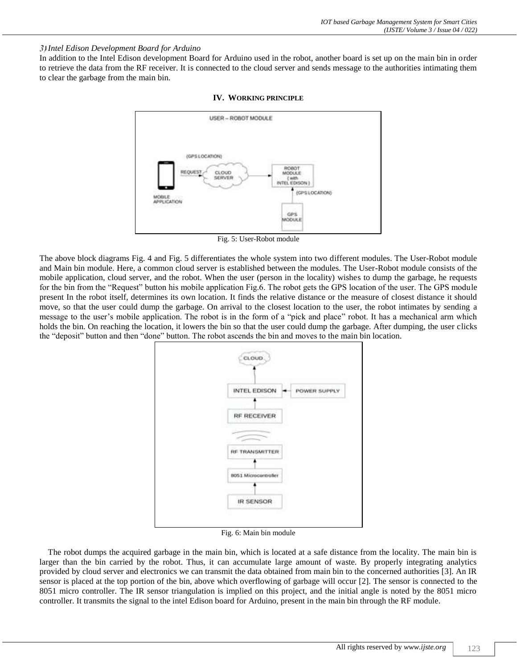# *Intel Edison Development Board for Arduino*

In addition to the Intel Edison development Board for Arduino used in the robot, another board is set up on the main bin in order to retrieve the data from the RF receiver. It is connected to the cloud server and sends message to the authorities intimating them to clear the garbage from the main bin.



# **IV. WORKING PRINCIPLE**



The above block diagrams Fig. 4 and Fig. 5 differentiates the whole system into two different modules. The User-Robot module and Main bin module. Here, a common cloud server is established between the modules. The User-Robot module consists of the mobile application, cloud server, and the robot. When the user (person in the locality) wishes to dump the garbage, he requests for the bin from the "Request" button his mobile application Fig.6. The robot gets the GPS location of the user. The GPS module present In the robot itself, determines its own location. It finds the relative distance or the measure of closest distance it should move, so that the user could dump the garbage. On arrival to the closest location to the user, the robot intimates by sending a message to the user's mobile application. The robot is in the form of a "pick and place" robot. It has a mechanical arm which holds the bin. On reaching the location, it lowers the bin so that the user could dump the garbage. After dumping, the user clicks the "deposit" button and then "done" button. The robot ascends the bin and moves to the main bin location.



Fig. 6: Main bin module

The robot dumps the acquired garbage in the main bin, which is located at a safe distance from the locality. The main bin is larger than the bin carried by the robot. Thus, it can accumulate large amount of waste. By properly integrating analytics provided by cloud server and electronics we can transmit the data obtained from main bin to the concerned authorities [3]. An IR sensor is placed at the top portion of the bin, above which overflowing of garbage will occur [2]. The sensor is connected to the 8051 micro controller. The IR sensor triangulation is implied on this project, and the initial angle is noted by the 8051 micro controller. It transmits the signal to the intel Edison board for Arduino, present in the main bin through the RF module.